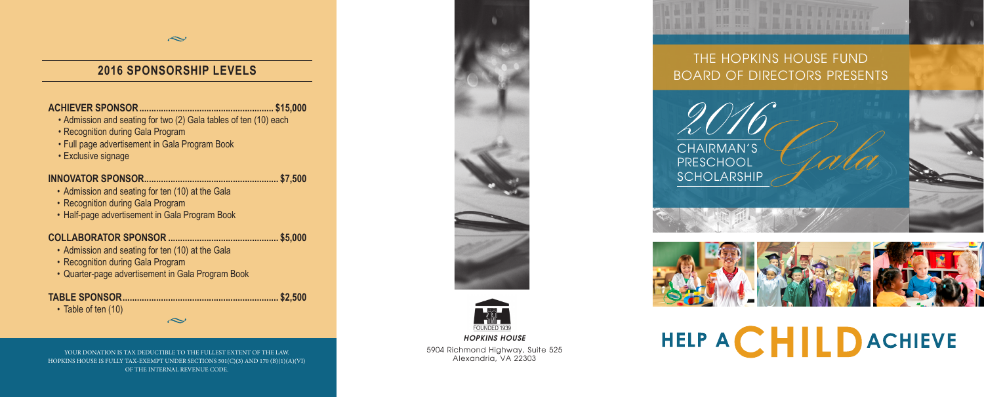$\sim$ 

## **2016 SPONSORSHIP LEVELS**

**ACHIEVER SPONSOR........................................................ \$15,000** • Admission and seating for two (2) Gala tables of ten (10) each • Recognition during Gala Program • Full page advertisement in Gala Program Book • Exclusive signage **INNOVATOR SPONSOR........................................................ \$7,500** • Admission and seating for ten (10) at the Gala • Recognition during Gala Program • Half-page advertisement in Gala Program Book **COLLABORATOR SPONSOR .............................................. \$5,000** • Admission and seating for ten (10) at the Gala • Recognition during Gala Program • Quarter-page advertisement in Gala Program Book **TABLE SPONSOR................................................................. \$2,500** • Table of ten (10)

YOUR DONATION IS TAX DEDUCTIBLE TO THE FULLEST EXTENT OF THE LAW. HOPKINS HOUSE IS FULLY TAX-EXEMPT UNDER SECTIONS 501(C)(3) AND 170 (B)(1)(A)(VI) OF THE INTERNAL REVENUE CODE.

 $\sim$ 





5904 Richmond Highway, Suite 525 Alexandria, VA 22303

# THE HOPKINS HOUSE FUND BOARD OF DIRECTORS PRESENTS

CHAIRMAN'S PRESCHOOL **SCHOLARSHIP** 



# HELP A CHILD ACHIEVE